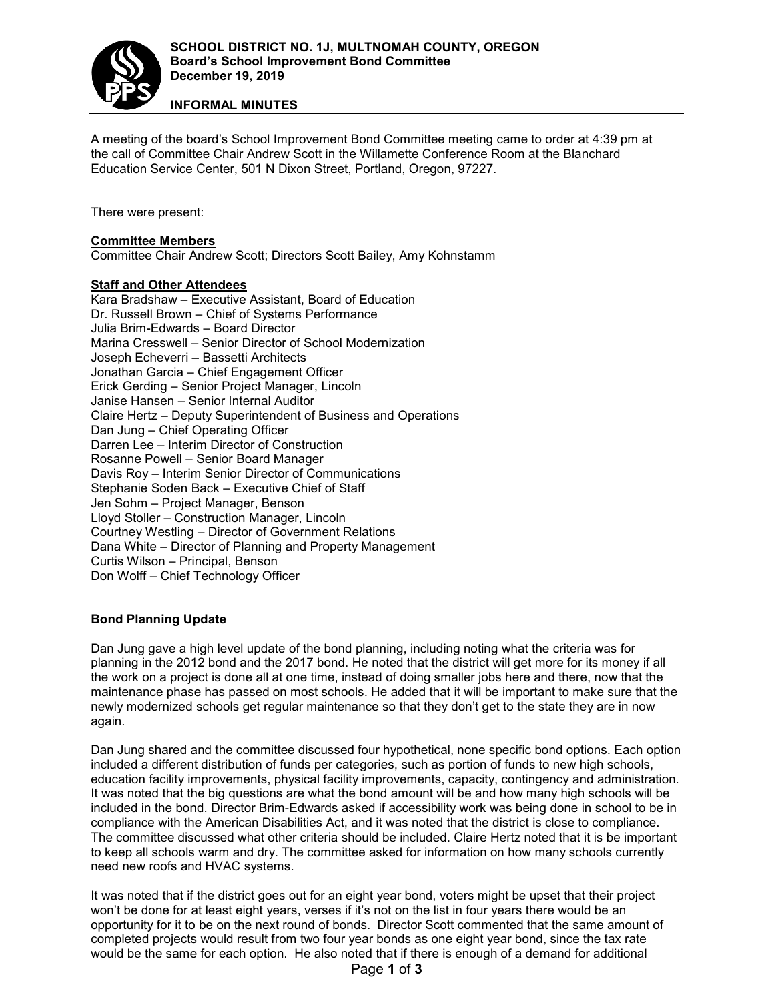

**INFORMAL MINUTES**

A meeting of the board's School Improvement Bond Committee meeting came to order at 4:39 pm at the call of Committee Chair Andrew Scott in the Willamette Conference Room at the Blanchard Education Service Center, 501 N Dixon Street, Portland, Oregon, 97227.

There were present:

#### **Committee Members**

Committee Chair Andrew Scott; Directors Scott Bailey, Amy Kohnstamm

### **Staff and Other Attendees**

Kara Bradshaw – Executive Assistant, Board of Education Dr. Russell Brown – Chief of Systems Performance Julia Brim-Edwards – Board Director Marina Cresswell – Senior Director of School Modernization Joseph Echeverri – Bassetti Architects Jonathan Garcia – Chief Engagement Officer Erick Gerding – Senior Project Manager, Lincoln Janise Hansen – Senior Internal Auditor Claire Hertz – Deputy Superintendent of Business and Operations Dan Jung – Chief Operating Officer Darren Lee – Interim Director of Construction Rosanne Powell – Senior Board Manager Davis Roy – Interim Senior Director of Communications Stephanie Soden Back – Executive Chief of Staff Jen Sohm – Project Manager, Benson Lloyd Stoller – Construction Manager, Lincoln Courtney Westling – Director of Government Relations Dana White – Director of Planning and Property Management Curtis Wilson – Principal, Benson Don Wolff – Chief Technology Officer

# **Bond Planning Update**

Dan Jung gave a high level update of the bond planning, including noting what the criteria was for planning in the 2012 bond and the 2017 bond. He noted that the district will get more for its money if all the work on a project is done all at one time, instead of doing smaller jobs here and there, now that the maintenance phase has passed on most schools. He added that it will be important to make sure that the newly modernized schools get regular maintenance so that they don't get to the state they are in now again.

Dan Jung shared and the committee discussed four hypothetical, none specific bond options. Each option included a different distribution of funds per categories, such as portion of funds to new high schools, education facility improvements, physical facility improvements, capacity, contingency and administration. It was noted that the big questions are what the bond amount will be and how many high schools will be included in the bond. Director Brim-Edwards asked if accessibility work was being done in school to be in compliance with the American Disabilities Act, and it was noted that the district is close to compliance. The committee discussed what other criteria should be included. Claire Hertz noted that it is be important to keep all schools warm and dry. The committee asked for information on how many schools currently need new roofs and HVAC systems.

It was noted that if the district goes out for an eight year bond, voters might be upset that their project won't be done for at least eight years, verses if it's not on the list in four years there would be an opportunity for it to be on the next round of bonds. Director Scott commented that the same amount of completed projects would result from two four year bonds as one eight year bond, since the tax rate would be the same for each option. He also noted that if there is enough of a demand for additional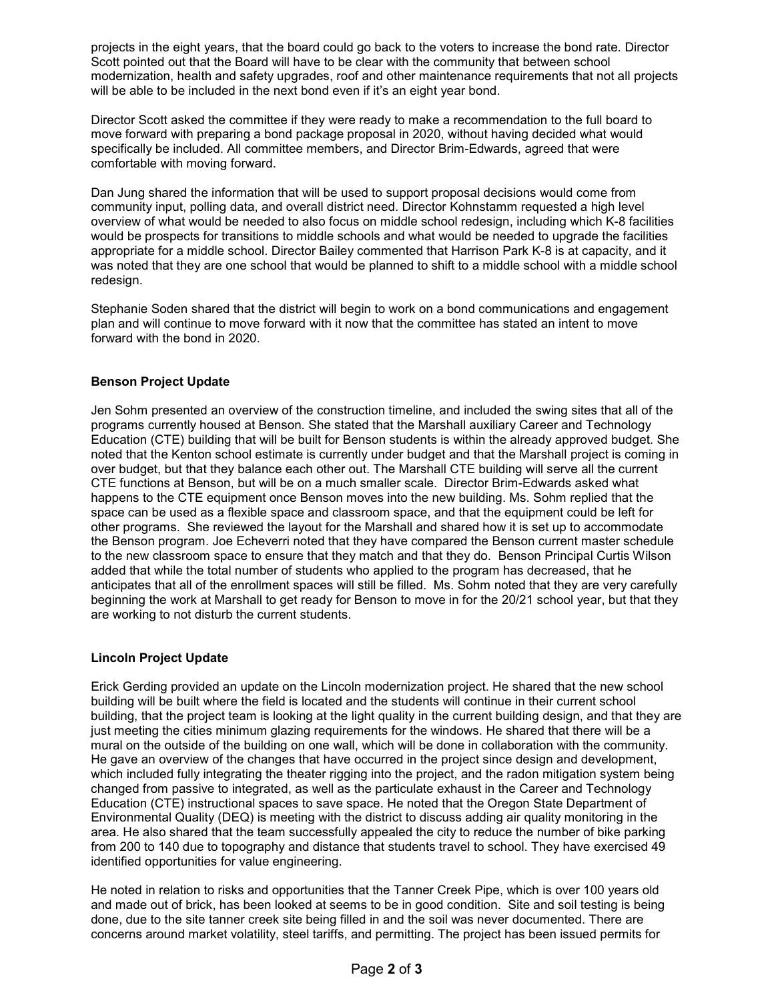projects in the eight years, that the board could go back to the voters to increase the bond rate. Director Scott pointed out that the Board will have to be clear with the community that between school modernization, health and safety upgrades, roof and other maintenance requirements that not all projects will be able to be included in the next bond even if it's an eight year bond.

Director Scott asked the committee if they were ready to make a recommendation to the full board to move forward with preparing a bond package proposal in 2020, without having decided what would specifically be included. All committee members, and Director Brim-Edwards, agreed that were comfortable with moving forward.

Dan Jung shared the information that will be used to support proposal decisions would come from community input, polling data, and overall district need. Director Kohnstamm requested a high level overview of what would be needed to also focus on middle school redesign, including which K-8 facilities would be prospects for transitions to middle schools and what would be needed to upgrade the facilities appropriate for a middle school. Director Bailey commented that Harrison Park K-8 is at capacity, and it was noted that they are one school that would be planned to shift to a middle school with a middle school redesign.

Stephanie Soden shared that the district will begin to work on a bond communications and engagement plan and will continue to move forward with it now that the committee has stated an intent to move forward with the bond in 2020.

# **Benson Project Update**

Jen Sohm presented an overview of the construction timeline, and included the swing sites that all of the programs currently housed at Benson. She stated that the Marshall auxiliary Career and Technology Education (CTE) building that will be built for Benson students is within the already approved budget. She noted that the Kenton school estimate is currently under budget and that the Marshall project is coming in over budget, but that they balance each other out. The Marshall CTE building will serve all the current CTE functions at Benson, but will be on a much smaller scale. Director Brim-Edwards asked what happens to the CTE equipment once Benson moves into the new building. Ms. Sohm replied that the space can be used as a flexible space and classroom space, and that the equipment could be left for other programs. She reviewed the layout for the Marshall and shared how it is set up to accommodate the Benson program. Joe Echeverri noted that they have compared the Benson current master schedule to the new classroom space to ensure that they match and that they do. Benson Principal Curtis Wilson added that while the total number of students who applied to the program has decreased, that he anticipates that all of the enrollment spaces will still be filled. Ms. Sohm noted that they are very carefully beginning the work at Marshall to get ready for Benson to move in for the 20/21 school year, but that they are working to not disturb the current students.

#### **Lincoln Project Update**

Erick Gerding provided an update on the Lincoln modernization project. He shared that the new school building will be built where the field is located and the students will continue in their current school building, that the project team is looking at the light quality in the current building design, and that they are just meeting the cities minimum glazing requirements for the windows. He shared that there will be a mural on the outside of the building on one wall, which will be done in collaboration with the community. He gave an overview of the changes that have occurred in the project since design and development, which included fully integrating the theater rigging into the project, and the radon mitigation system being changed from passive to integrated, as well as the particulate exhaust in the Career and Technology Education (CTE) instructional spaces to save space. He noted that the Oregon State Department of Environmental Quality (DEQ) is meeting with the district to discuss adding air quality monitoring in the area. He also shared that the team successfully appealed the city to reduce the number of bike parking from 200 to 140 due to topography and distance that students travel to school. They have exercised 49 identified opportunities for value engineering.

He noted in relation to risks and opportunities that the Tanner Creek Pipe, which is over 100 years old and made out of brick, has been looked at seems to be in good condition. Site and soil testing is being done, due to the site tanner creek site being filled in and the soil was never documented. There are concerns around market volatility, steel tariffs, and permitting. The project has been issued permits for